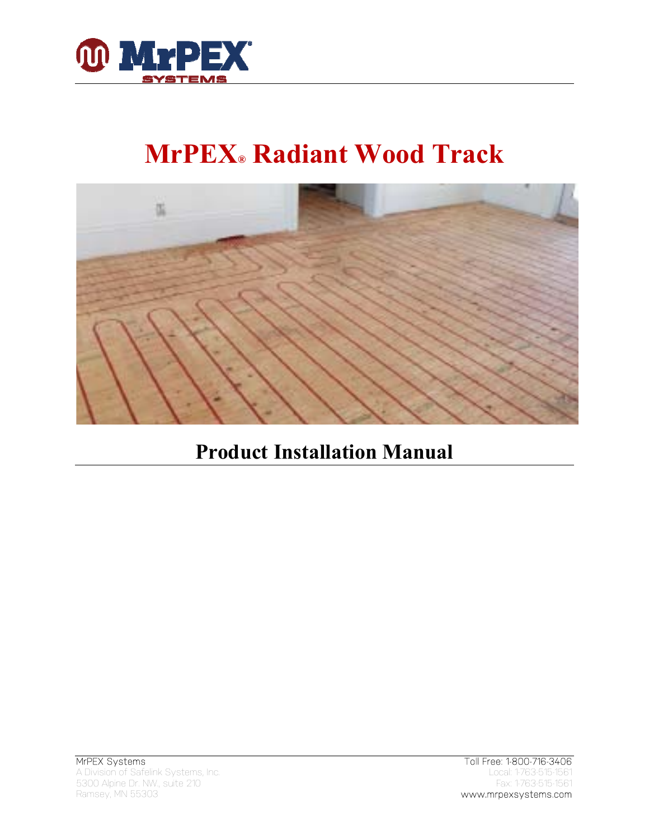

# **MrPEX® Radiant Wood Track**



## **Product Installation Manual**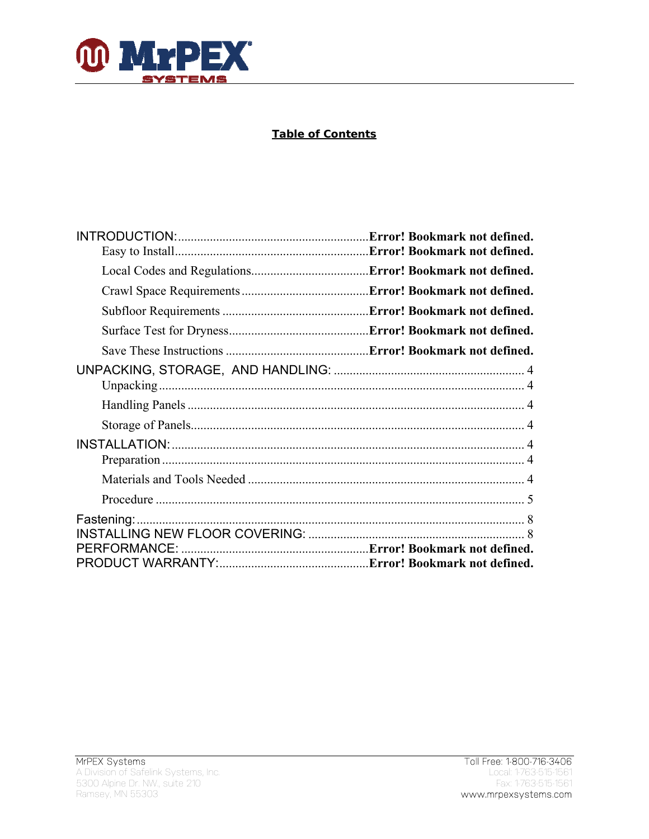

#### **Table of Contents**

| Error! Bookmark not defined. |
|------------------------------|
|                              |
|                              |
|                              |
|                              |
|                              |
|                              |
|                              |
|                              |
|                              |
|                              |
|                              |
|                              |
|                              |
|                              |
|                              |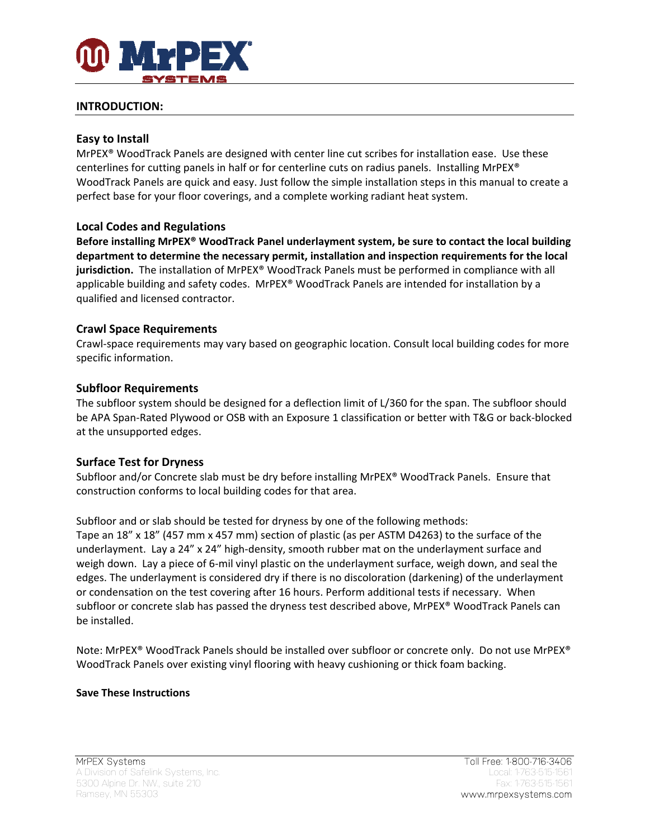

#### **INTRODUCTION:**

#### **Easy to Install**

MrPEX® WoodTrack Panels are designed with center line cut scribes for installation ease. Use these centerlines for cutting panels in half or for centerline cuts on radius panels. Installing MrPEX® WoodTrack Panels are quick and easy. Just follow the simple installation steps in this manual to create a perfect base for your floor coverings, and a complete working radiant heat system.

#### **Local Codes and Regulations**

**Before installing MrPEX® WoodTrack Panel underlayment system, be sure to contact the local building department to determine the necessary permit, installation and inspection requirements for the local jurisdiction.** The installation of MrPEX® WoodTrack Panels must be performed in compliance with all applicable building and safety codes. MrPEX® WoodTrack Panels are intended for installation by a qualified and licensed contractor.

#### **Crawl Space Requirements**

Crawl‐space requirements may vary based on geographic location. Consult local building codes for more specific information.

#### **Subfloor Requirements**

The subfloor system should be designed for a deflection limit of L/360 for the span. The subfloor should be APA Span‐Rated Plywood or OSB with an Exposure 1 classification or better with T&G or back‐blocked at the unsupported edges.

#### **Surface Test for Dryness**

Subfloor and/or Concrete slab must be dry before installing MrPEX® WoodTrack Panels. Ensure that construction conforms to local building codes for that area.

Subfloor and or slab should be tested for dryness by one of the following methods: Tape an 18" x 18" (457 mm x 457 mm) section of plastic (as per ASTM D4263) to the surface of the underlayment. Lay a 24" x 24" high-density, smooth rubber mat on the underlayment surface and weigh down. Lay a piece of 6‐mil vinyl plastic on the underlayment surface, weigh down, and seal the edges. The underlayment is considered dry if there is no discoloration (darkening) of the underlayment or condensation on the test covering after 16 hours. Perform additional tests if necessary. When subfloor or concrete slab has passed the dryness test described above, MrPEX® WoodTrack Panels can be installed.

Note: MrPEX® WoodTrack Panels should be installed over subfloor or concrete only. Do not use MrPEX® WoodTrack Panels over existing vinyl flooring with heavy cushioning or thick foam backing.

#### **Save These Instructions**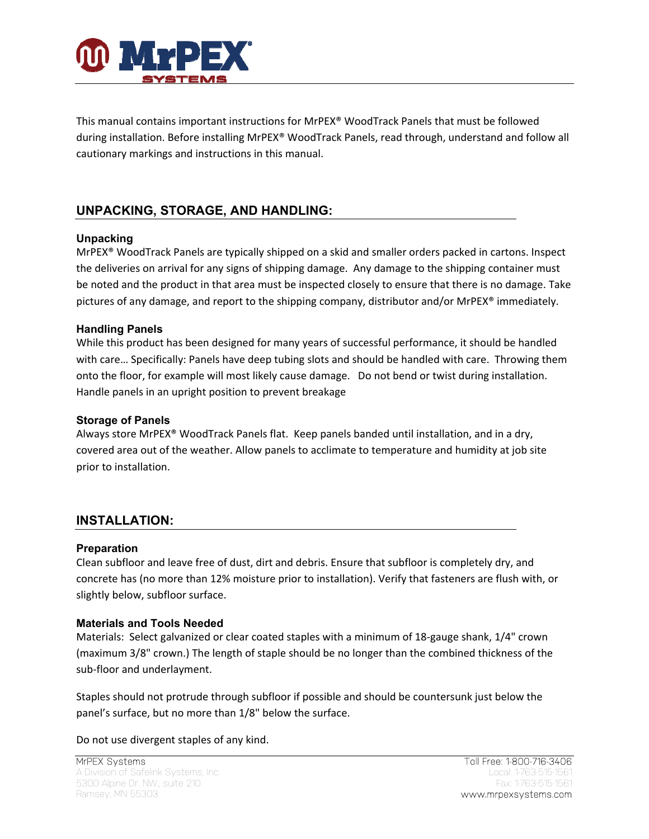

This manual contains important instructions for MrPEX® WoodTrack Panels that must be followed during installation. Before installing MrPEX® WoodTrack Panels, read through, understand and follow all cautionary markings and instructions in this manual.

### **UNPACKING, STORAGE, AND HANDLING:**

#### **Unpacking**

MrPEX® WoodTrack Panels are typically shipped on a skid and smaller orders packed in cartons. Inspect the deliveries on arrival for any signs of shipping damage. Any damage to the shipping container must be noted and the product in that area must be inspected closely to ensure that there is no damage. Take pictures of any damage, and report to the shipping company, distributor and/or MrPEX® immediately.

#### **Handling Panels**

While this product has been designed for many years of successful performance, it should be handled with care… Specifically: Panels have deep tubing slots and should be handled with care. Throwing them onto the floor, for example will most likely cause damage. Do not bend or twist during installation. Handle panels in an upright position to prevent breakage

#### **Storage of Panels**

Always store MrPEX® WoodTrack Panels flat. Keep panels banded until installation, and in a dry, covered area out of the weather. Allow panels to acclimate to temperature and humidity at job site prior to installation.

### **INSTALLATION:**

#### **Preparation**

Clean subfloor and leave free of dust, dirt and debris. Ensure that subfloor is completely dry, and concrete has (no more than 12% moisture prior to installation). Verify that fasteners are flush with, or slightly below, subfloor surface.

#### **Materials and Tools Needed**

Materials: Select galvanized or clear coated staples with a minimum of 18-gauge shank, 1/4" crown (maximum 3/8" crown.) The length of staple should be no longer than the combined thickness of the sub‐floor and underlayment.

Staples should not protrude through subfloor if possible and should be countersunk just below the panel's surface, but no more than 1/8" below the surface.

Do not use divergent staples of any kind.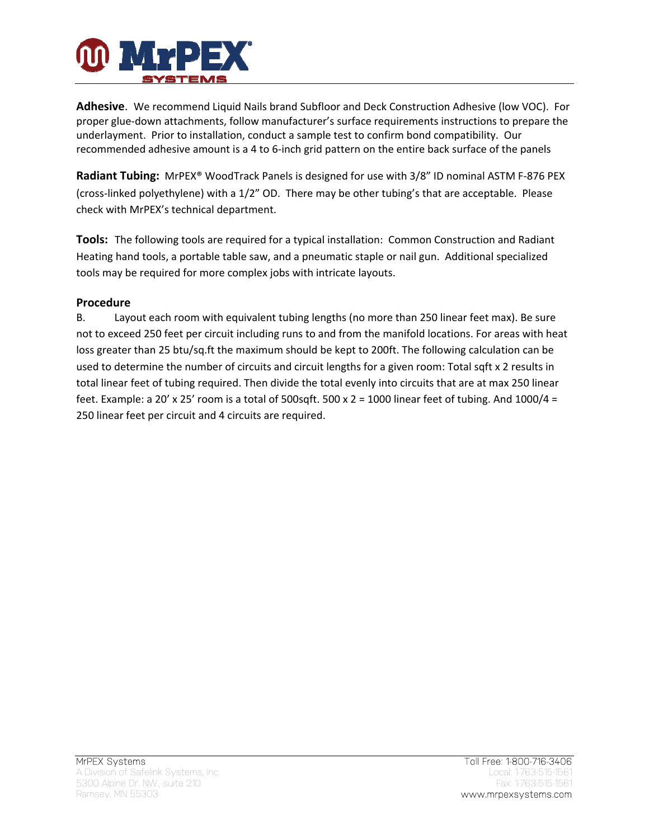

**Adhesive**. We recommend Liquid Nails brand Subfloor and Deck Construction Adhesive (low VOC). For proper glue‐down attachments, follow manufacturer's surface requirements instructions to prepare the underlayment. Prior to installation, conduct a sample test to confirm bond compatibility. Our recommended adhesive amount is a 4 to 6‐inch grid pattern on the entire back surface of the panels

**Radiant Tubing:** MrPEX<sup>®</sup> WoodTrack Panels is designed for use with 3/8" ID nominal ASTM F-876 PEX (cross‐linked polyethylene) with a 1/2" OD. There may be other tubing's that are acceptable. Please check with MrPEX's technical department.

**Tools:** The following tools are required for a typical installation: Common Construction and Radiant Heating hand tools, a portable table saw, and a pneumatic staple or nail gun. Additional specialized tools may be required for more complex jobs with intricate layouts.

#### **Procedure**

B. Layout each room with equivalent tubing lengths (no more than 250 linear feet max). Be sure not to exceed 250 feet per circuit including runs to and from the manifold locations. For areas with heat loss greater than 25 btu/sq.ft the maximum should be kept to 200ft. The following calculation can be used to determine the number of circuits and circuit lengths for a given room: Total sqft x 2 results in total linear feet of tubing required. Then divide the total evenly into circuits that are at max 250 linear feet. Example: a 20' x 25' room is a total of 500sqft. 500 x 2 = 1000 linear feet of tubing. And 1000/4 = 250 linear feet per circuit and 4 circuits are required.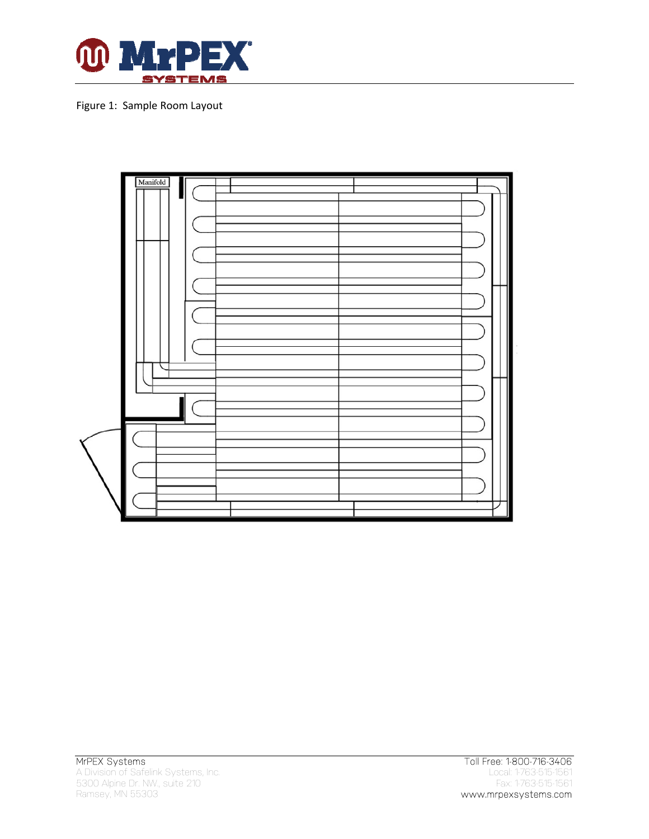

Figure 1: Sample Room Layout

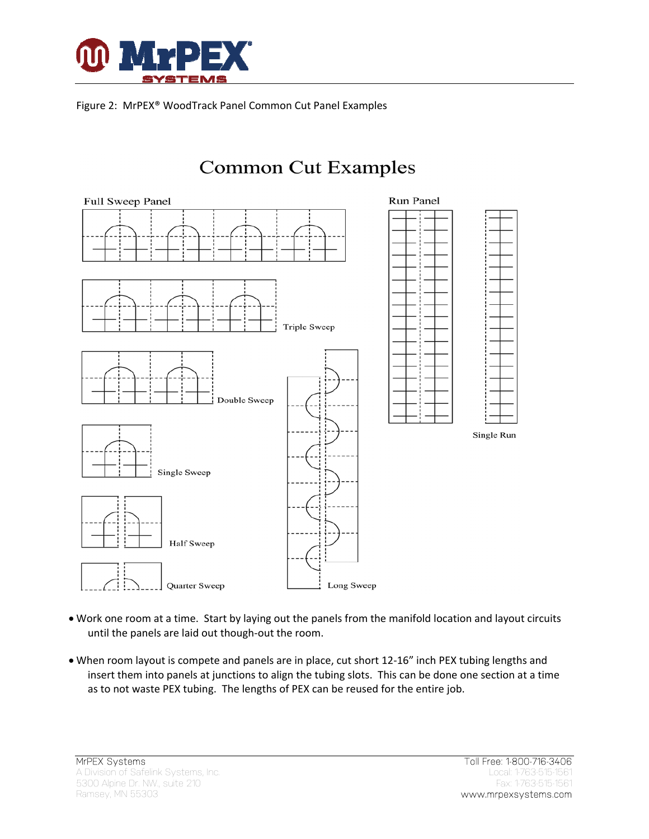

Figure 2: MrPEX® WoodTrack Panel Common Cut Panel Examples



- Work one room at a time. Start by laying out the panels from the manifold location and layout circuits until the panels are laid out though‐out the room.
- When room layout is compete and panels are in place, cut short 12‐16" inch PEX tubing lengths and insert them into panels at junctions to align the tubing slots. This can be done one section at a time as to not waste PEX tubing. The lengths of PEX can be reused for the entire job.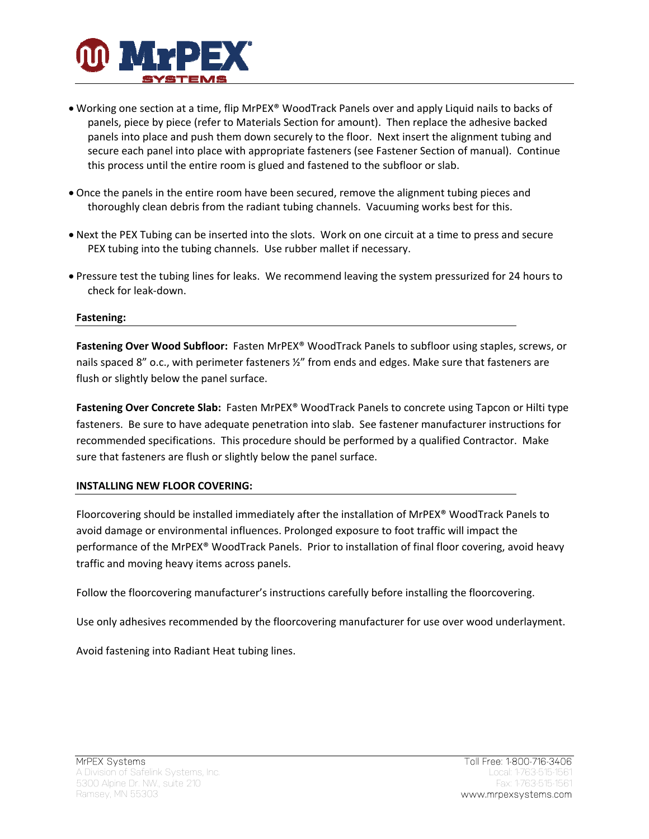

- Working one section at a time, flip MrPEX® WoodTrack Panels over and apply Liquid nails to backs of panels, piece by piece (refer to Materials Section for amount). Then replace the adhesive backed panels into place and push them down securely to the floor. Next insert the alignment tubing and secure each panel into place with appropriate fasteners (see Fastener Section of manual). Continue this process until the entire room is glued and fastened to the subfloor or slab.
- Once the panels in the entire room have been secured, remove the alignment tubing pieces and thoroughly clean debris from the radiant tubing channels. Vacuuming works best for this.
- Next the PEX Tubing can be inserted into the slots. Work on one circuit at a time to press and secure PEX tubing into the tubing channels. Use rubber mallet if necessary.
- Pressure test the tubing lines for leaks. We recommend leaving the system pressurized for 24 hours to check for leak‐down.

#### **Fastening:**

**Fastening Over Wood Subfloor:** Fasten MrPEX® WoodTrack Panels to subfloor using staples, screws, or nails spaced 8" o.c., with perimeter fasteners  $\frac{y}{2}$ " from ends and edges. Make sure that fasteners are flush or slightly below the panel surface.

**Fastening Over Concrete Slab:** Fasten MrPEX® WoodTrack Panels to concrete using Tapcon or Hilti type fasteners. Be sure to have adequate penetration into slab. See fastener manufacturer instructions for recommended specifications. This procedure should be performed by a qualified Contractor. Make sure that fasteners are flush or slightly below the panel surface.

#### **INSTALLING NEW FLOOR COVERING:**

Floorcovering should be installed immediately after the installation of MrPEX® WoodTrack Panels to avoid damage or environmental influences. Prolonged exposure to foot traffic will impact the performance of the MrPEX® WoodTrack Panels. Prior to installation of final floor covering, avoid heavy traffic and moving heavy items across panels.

Follow the floorcovering manufacturer's instructions carefully before installing the floorcovering.

Use only adhesives recommended by the floorcovering manufacturer for use over wood underlayment.

Avoid fastening into Radiant Heat tubing lines.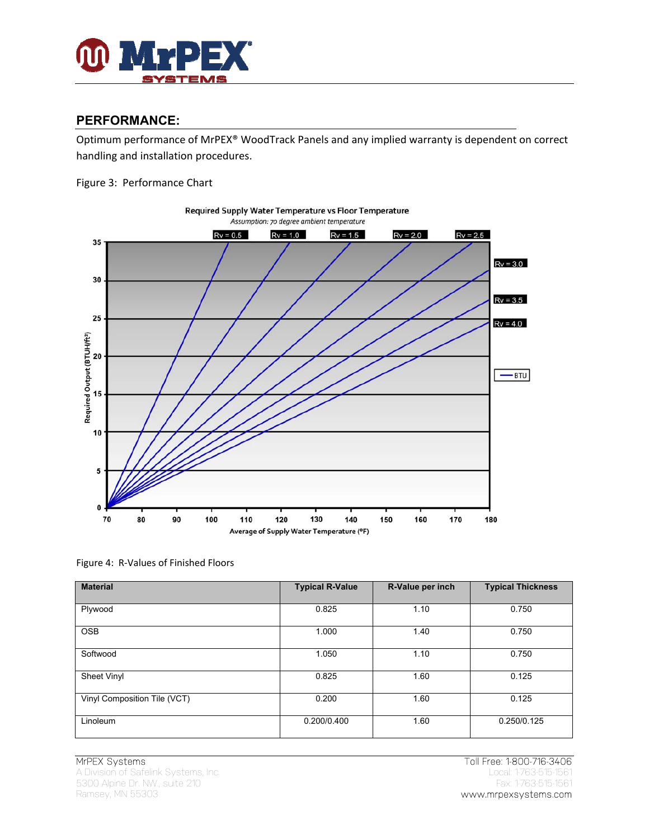

#### **PERFORMANCE:**

Optimum performance of MrPEX® WoodTrack Panels and any implied warranty is dependent on correct handling and installation procedures.

Figure 3: Performance Chart



Required Supply Water Temperature vs Floor Temperature Assumption: 70 degree ambient temperature

Figure 4: R‐Values of Finished Floors

| <b>Material</b>              | <b>Typical R-Value</b> | R-Value per inch | <b>Typical Thickness</b> |
|------------------------------|------------------------|------------------|--------------------------|
| Plywood                      | 0.825                  | 1.10             | 0.750                    |
| <b>OSB</b>                   | 1.000                  | 1.40             | 0.750                    |
| Softwood                     | 1.050                  | 1.10             | 0.750                    |
| Sheet Vinyl                  | 0.825                  | 1.60             | 0.125                    |
| Vinyl Composition Tile (VCT) | 0.200                  | 1.60             | 0.125                    |
| Linoleum                     | 0.200/0.400            | 1.60             | 0.250/0.125              |

A Division of Safelink Systems, Inc. Local: 1-763-515-1561 5300 Alpine Dr. NW., suite 210 Fax: 1-763-515-1561 Fax: 1-763-515-1561 Fax: 1-763-515-1561 Fax: 1-763-515-1561 Ramsey, MN 55303 www.mrpexsystems.com

MrPEX Systems Toll Free: 1-800-716-3406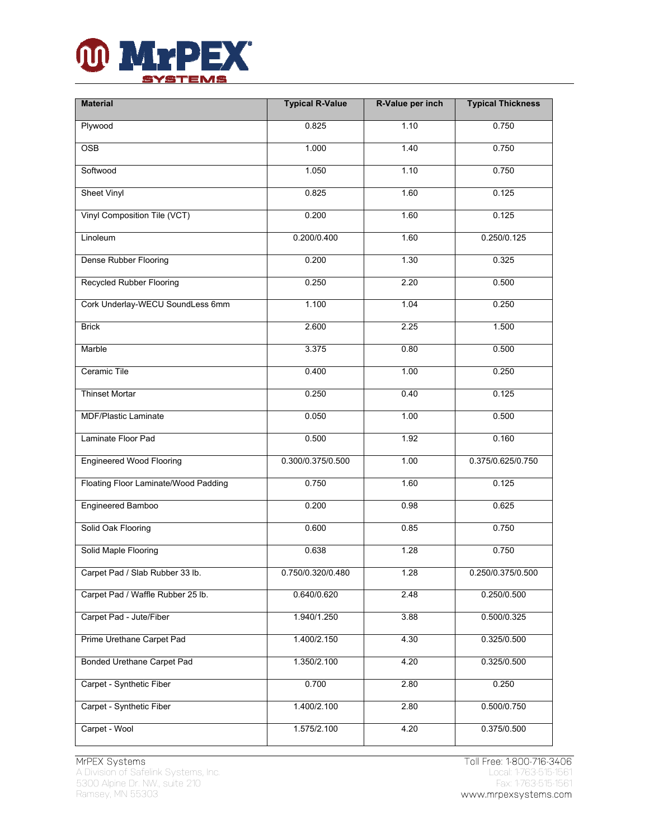

| <b>Material</b>                      | <b>Typical R-Value</b> | R-Value per inch | <b>Typical Thickness</b> |
|--------------------------------------|------------------------|------------------|--------------------------|
| Plywood                              | 0.825                  | 1.10             | 0.750                    |
| <b>OSB</b>                           | 1.000                  | 1.40             | 0.750                    |
| Softwood                             | 1.050                  | 1.10             | 0.750                    |
| <b>Sheet Vinyl</b>                   | 0.825                  | 1.60             | 0.125                    |
| Vinyl Composition Tile (VCT)         | 0.200                  | 1.60             | 0.125                    |
| Linoleum                             | 0.200/0.400            | 1.60             | $0.\overline{250/0.125}$ |
| Dense Rubber Flooring                | 0.200                  | 1.30             | 0.325                    |
| <b>Recycled Rubber Flooring</b>      | 0.250                  | 2.20             | 0.500                    |
| Cork Underlay-WECU SoundLess 6mm     | 1.100                  | 1.04             | 0.250                    |
| <b>Brick</b>                         | 2.600                  | 2.25             | 1.500                    |
| Marble                               | 3.375                  | 0.80             | 0.500                    |
| Ceramic Tile                         | 0.400                  | 1.00             | 0.250                    |
| <b>Thinset Mortar</b>                | 0.250                  | 0.40             | 0.125                    |
| <b>MDF/Plastic Laminate</b>          | 0.050                  | 1.00             | 0.500                    |
| Laminate Floor Pad                   | 0.500                  | 1.92             | 0.160                    |
| <b>Engineered Wood Flooring</b>      | 0.300/0.375/0.500      | 1.00             | 0.375/0.625/0.750        |
| Floating Floor Laminate/Wood Padding | 0.750                  | 1.60             | 0.125                    |
| Engineered Bamboo                    | 0.200                  | 0.98             | 0.625                    |
| Solid Oak Flooring                   | 0.600                  | 0.85             | 0.750                    |
| Solid Maple Flooring                 | 0.638                  | 1.28             | 0.750                    |
| Carpet Pad / Slab Rubber 33 lb.      | 0.750/0.320/0.480      | 1.28             | 0.250/0.375/0.500        |
| Carpet Pad / Waffle Rubber 25 lb.    | 0.640/0.620            | 2.48             | 0.250/0.500              |
| Carpet Pad - Jute/Fiber              | 1.940/1.250            | 3.88             | 0.500/0.325              |
| Prime Urethane Carpet Pad            | 1.400/2.150            | 4.30             | 0.325/0.500              |
| Bonded Urethane Carpet Pad           | 1.350/2.100            | 4.20             | 0.325/0.500              |
| Carpet - Synthetic Fiber             | 0.700                  | 2.80             | 0.250                    |
| Carpet - Synthetic Fiber             | 1.400/2.100            | 2.80             | 0.500/0.750              |
| Carpet - Wool                        | 1.575/2.100            | 4.20             | 0.375/0.500              |

A Division of Safelink Systems, Inc. Local: 1-763-515-1561 5300 Alpine Dr. NW., suite 210 Fax: 1-763-515-1561 Ramsey, MN 55303 **www.mrpexsystems.com** 

MrPEX Systems<br>
A Division of Safelink Systems, Inc.<br>
A Division of Safelink Systems, Inc.<br>
Cocal: 1-763-515-1561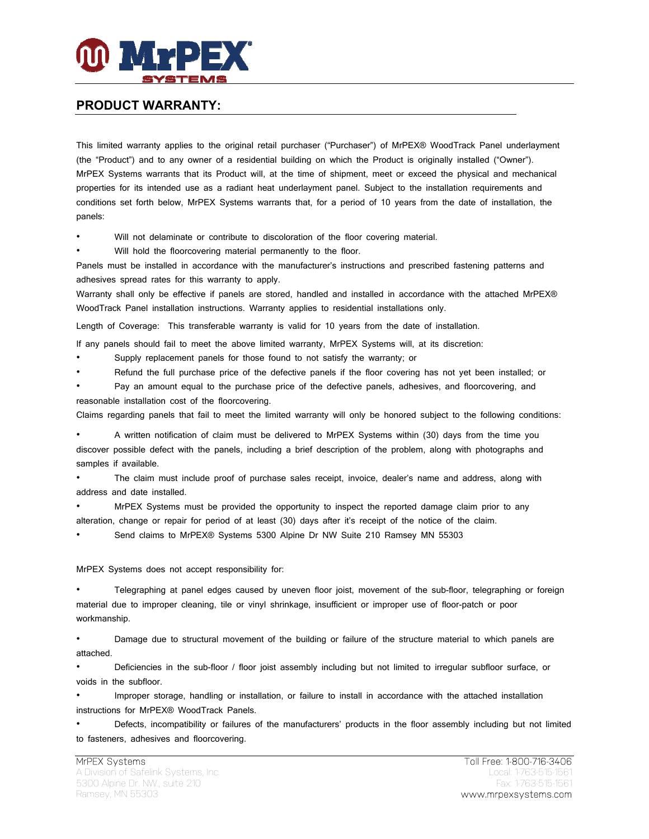

#### **PRODUCT WARRANTY:**

This limited warranty applies to the original retail purchaser ("Purchaser") of MrPEX® WoodTrack Panel underlayment (the "Product") and to any owner of a residential building on which the Product is originally installed ("Owner"). MrPEX Systems warrants that its Product will, at the time of shipment, meet or exceed the physical and mechanical properties for its intended use as a radiant heat underlayment panel. Subject to the installation requirements and conditions set forth below, MrPEX Systems warrants that, for a period of 10 years from the date of installation, the panels:

Will not delaminate or contribute to discoloration of the floor covering material.

Will hold the floorcovering material permanently to the floor.

Panels must be installed in accordance with the manufacturer's instructions and prescribed fastening patterns and adhesives spread rates for this warranty to apply.

Warranty shall only be effective if panels are stored, handled and installed in accordance with the attached MrPEX® WoodTrack Panel installation instructions. Warranty applies to residential installations only.

Length of Coverage: This transferable warranty is valid for 10 years from the date of installation.

If any panels should fail to meet the above limited warranty, MrPEX Systems will, at its discretion:

• Supply replacement panels for those found to not satisfy the warranty; or

• Refund the full purchase price of the defective panels if the floor covering has not yet been installed; or

• Pay an amount equal to the purchase price of the defective panels, adhesives, and floorcovering, and reasonable installation cost of the floorcovering.

Claims regarding panels that fail to meet the limited warranty will only be honored subject to the following conditions:

• A written notification of claim must be delivered to MrPEX Systems within (30) days from the time you discover possible defect with the panels, including a brief description of the problem, along with photographs and samples if available.

• The claim must include proof of purchase sales receipt, invoice, dealer's name and address, along with address and date installed.

• MrPEX Systems must be provided the opportunity to inspect the reported damage claim prior to any alteration, change or repair for period of at least (30) days after it's receipt of the notice of the claim.

• Send claims to MrPEX® Systems 5300 Alpine Dr NW Suite 210 Ramsey MN 55303

#### MrPEX Systems does not accept responsibility for:

• Telegraphing at panel edges caused by uneven floor joist, movement of the sub-floor, telegraphing or foreign material due to improper cleaning, tile or vinyl shrinkage, insufficient or improper use of floor-patch or poor workmanship.

• Damage due to structural movement of the building or failure of the structure material to which panels are attached.

• Deficiencies in the sub-floor / floor joist assembly including but not limited to irregular subfloor surface, or voids in the subfloor.

• Improper storage, handling or installation, or failure to install in accordance with the attached installation instructions for MrPEX® WoodTrack Panels.

• Defects, incompatibility or failures of the manufacturers' products in the floor assembly including but not limited to fasteners, adhesives and floorcovering.